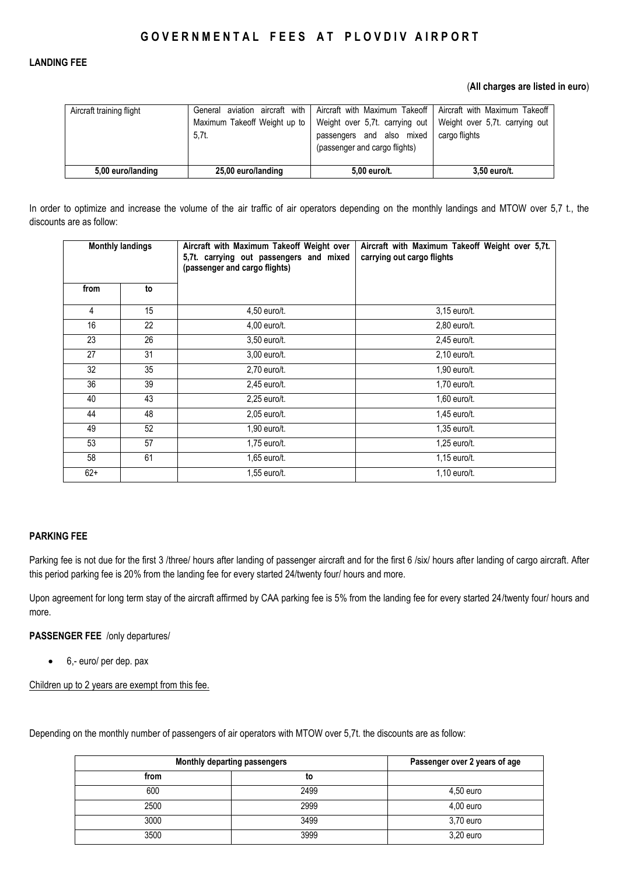## **LANDING FEE**

### (**All charges are listed in euro**)

| Aircraft training flight | Maximum Takeoff Weight up to<br>5.7t. | General aviation aircraft with   Aircraft with Maximum Takeoff   Aircraft with Maximum Takeoff<br>Weight over 5,7t. carrying out   Weight over 5,7t. carrying out<br>passengers and also mixed<br>(passenger and cargo flights) | cargo flights |
|--------------------------|---------------------------------------|---------------------------------------------------------------------------------------------------------------------------------------------------------------------------------------------------------------------------------|---------------|
| 5,00 euro/landing        | 25,00 euro/landing                    | 5,00 euro/t.                                                                                                                                                                                                                    | 3,50 euro/t.  |

In order to optimize and increase the volume of the air traffic of air operators depending on the monthly landings and MTOW over 5,7 t., the discounts are as follow:

| <b>Monthly landings</b> |    | Aircraft with Maximum Takeoff Weight over<br>5,7t. carrying out passengers and mixed<br>(passenger and cargo flights) | Aircraft with Maximum Takeoff Weight over 5,7t.<br>carrying out cargo flights |  |
|-------------------------|----|-----------------------------------------------------------------------------------------------------------------------|-------------------------------------------------------------------------------|--|
| from                    | to |                                                                                                                       |                                                                               |  |
| $\overline{4}$          | 15 | 4,50 euro/t.                                                                                                          | 3,15 euro/t.                                                                  |  |
| 16                      | 22 | 4,00 euro/t.                                                                                                          | 2,80 euro/t.                                                                  |  |
| 23                      | 26 | 3,50 euro/t.                                                                                                          | 2,45 euro/t.                                                                  |  |
| 27                      | 31 | 3,00 euro/t.                                                                                                          | 2,10 euro/t.                                                                  |  |
| 32                      | 35 | 2,70 euro/t.                                                                                                          | 1,90 euro/t.                                                                  |  |
| 36                      | 39 | 2,45 euro/t.                                                                                                          | 1,70 euro/t.                                                                  |  |
| 40                      | 43 | 2,25 euro/t.                                                                                                          | $1,60$ euro/t.                                                                |  |
| 44                      | 48 | 2,05 euro/t.                                                                                                          | 1,45 euro/t.                                                                  |  |
| 49                      | 52 | 1,90 euro/t.                                                                                                          | 1,35 euro/t.                                                                  |  |
| 53                      | 57 | 1,75 euro/t.                                                                                                          | 1,25 euro/t.                                                                  |  |
| 58                      | 61 | 1,65 euro/t.                                                                                                          | 1,15 euro/t.                                                                  |  |
| $62+$                   |    | 1,55 euro/t.                                                                                                          | 1,10 euro/t.                                                                  |  |

## **PARKING FEE**

Parking fee is not due for the first 3 /three/ hours after landing of passenger aircraft and for the first 6 /six/ hours after landing of cargo aircraft. After this period parking fee is 20% from the landing fee for every started 24/twenty four/ hours and more.

Upon agreement for long term stay of the aircraft affirmed by CAA parking fee is 5% from the landing fee for every started 24/twenty four/ hours and more.

#### **PASSENGER FEE** /only departures/

6,- euro/ per dep. pax

Children up to 2 years are exempt from this fee.

Depending on the monthly number of passengers of air operators with MTOW over 5,7t. the discounts are as follow:

| Monthly departing passengers |      | Passenger over 2 years of age |
|------------------------------|------|-------------------------------|
| from                         | to   |                               |
| 600                          | 2499 | $4,50$ euro                   |
| 2500                         | 2999 | $4,00$ euro                   |
| 3000                         | 3499 | 3,70 euro                     |
| 3500                         | 3999 | 3,20 euro                     |